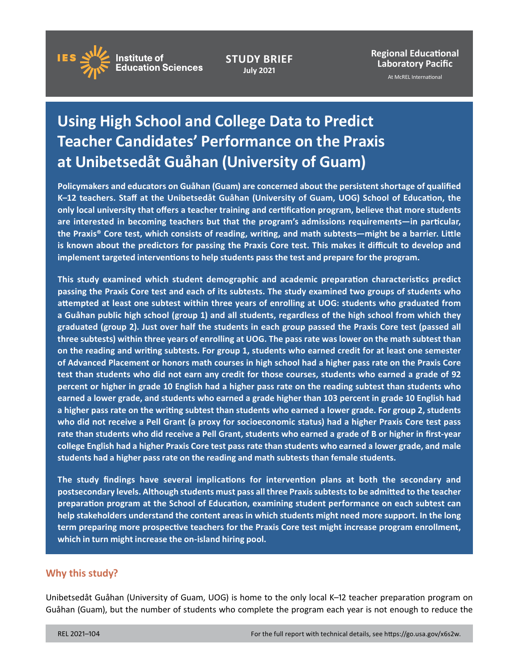

**STUDY BRIEF July 2021**

**Regional Educational Laboratory Pacific** 

At McREL International

# **Using High School and College Data to Predict Teacher Candidates' Performance on the Praxis at Unibetsedåt Guåhan (University of Guam)**

**Policymakers and educators on Guåhan (Guam) are concerned about the persistent shortage of qualified K–12 teachers. Staff at the Unibetsedåt Guåhan (University of Guam, UOG) School of Education, the only local university that offers a teacher training and certification program, believe that more students are interested in becoming teachers but that the program's admissions requirements—in particular, the Praxis® Core test, which consists of reading, writing, and math subtests—might be a barrier. Little is known about the predictors for passing the Praxis Core test. This makes it difficult to develop and implement targeted interventions to help students pass the test and prepare for the program.** 

**This study examined which student demographic and academic preparation characteristics predict passing the Praxis Core test and each of its subtests. The study examined two groups of students who attempted at least one subtest within three years of enrolling at UOG: students who graduated from a Guåhan public high school (group 1) and all students, regardless of the high school from which they graduated (group 2). Just over half the students in each group passed the Praxis Core test (passed all three subtests) within three years of enrolling at UOG. The pass rate was lower on the math subtest than on the reading and writing subtests. For group 1, students who earned credit for at least one semester of Advanced Placement or honors math courses in high school had a higher pass rate on the Praxis Core test than students who did not earn any credit for those courses, students who earned a grade of 92 percent or higher in grade 10 English had a higher pass rate on the reading subtest than students who earned a lower grade, and students who earned a grade higher than 103 percent in grade 10 English had a higher pass rate on the writing subtest than students who earned a lower grade. For group 2, students who did not receive a Pell Grant (a proxy for socioeconomic status) had a higher Praxis Core test pass rate than students who did receive a Pell Grant, students who earned a grade of B or higher in first-year college English had a higher Praxis Core test pass rate than students who earned a lower grade, and male students had a higher pass rate on the reading and math subtests than female students.** 

**The study findings have several implications for intervention plans at both the secondary and postsecondary levels. Although students must pass all three Praxis subtests to be admitted to the teacher preparation program at the School of Education, examining student performance on each subtest can help stakeholders understand the content areas in which students might need more support. In the long term preparing more prospective teachers for the Praxis Core test might increase program enrollment, which in turn might increase the on-island hiring pool.** 

### **Why this study?**

Unibetsedåt Guåhan (University of Guam, UOG) is home to the only local K–12 teacher preparation program on Guåhan (Guam), but the number of students who complete the program each year is not enough to reduce the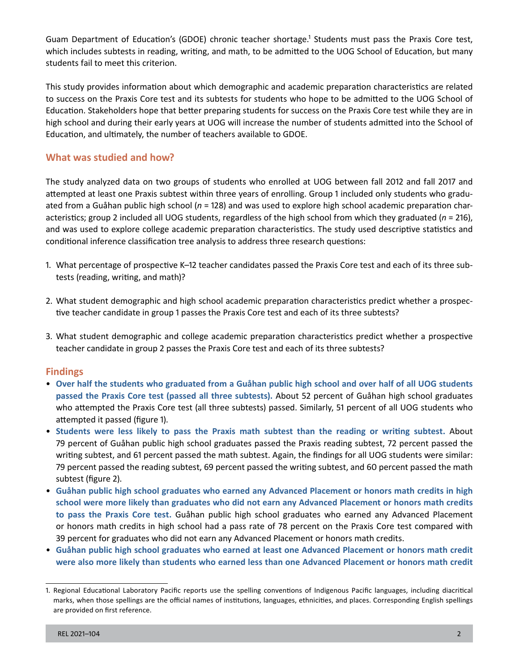Guam Department of Education's (GDOE) chronic teacher shortage.<sup>1</sup> Students must pass the Praxis Core test, which includes subtests in reading, writing, and math, to be admitted to the UOG School of Education, but many students fail to meet this criterion.

This study provides information about which demographic and academic preparation characteristics are related to success on the Praxis Core test and its subtests for students who hope to be admitted to the UOG School of Education. Stakeholders hope that better preparing students for success on the Praxis Core test while they are in high school and during their early years at UOG will increase the number of students admitted into the School of Education, and ultimately, the number of teachers available to GDOE.

## **What was studied and how?**

The study analyzed data on two groups of students who enrolled at UOG between fall 2012 and fall 2017 and attempted at least one Praxis subtest within three years of enrolling. Group 1 included only students who graduated from a Guåhan public high school (*n* = 128) and was used to explore high school academic preparation characteristics; group 2 included all UOG students, regardless of the high school from which they graduated (*n* = 216), and was used to explore college academic preparation characteristics. The study used descriptive statistics and conditional inference classification tree analysis to address three research questions:

- 1. What percentage of prospective K–12 teacher candidates passed the Praxis Core test and each of its three subtests (reading, writing, and math)?
- 2. What student demographic and high school academic preparation characteristics predict whether a prospective teacher candidate in group 1 passes the Praxis Core test and each of its three subtests?
- 3. What student demographic and college academic preparation characteristics predict whether a prospective teacher candidate in group 2 passes the Praxis Core test and each of its three subtests?

### **Findings**

- • **Over half the students who graduated from a Guåhan public high school and over half of all UOG students passed the Praxis Core test (passed all three subtests).** About 52 percent of Guåhan high school graduates who attempted the Praxis Core test (all three subtests) passed. Similarly, 51 percent of all UOG students who attempted it passed (figure 1).
- • **Students were less likely to pass the Praxis math subtest than the reading or writing subtest.** About 79 percent of Guåhan public high school graduates passed the Praxis reading subtest, 72 percent passed the writing subtest, and 61 percent passed the math subtest. Again, the findings for all UOG students were similar: 79 percent passed the reading subtest, 69 percent passed the writing subtest, and 60 percent passed the math subtest (figure 2).
- • **Guåhan public high school graduates who earned any Advanced Placement or honors math credits in high school were more likely than graduates who did not earn any Advanced Placement or honors math credits to pass the Praxis Core test.** Guåhan public high school graduates who earned any Advanced Placement or honors math credits in high school had a pass rate of 78 percent on the Praxis Core test compared with 39 percent for graduates who did not earn any Advanced Placement or honors math credits.
- • **Guåhan public high school graduates who earned at least one Advanced Placement or honors math credit were also more likely than students who earned less than one Advanced Placement or honors math credit**

<sup>1.</sup> Regional Educational Laboratory Pacific reports use the spelling conventions of Indigenous Pacific languages, including diacritical marks, when those spellings are the official names of institutions, languages, ethnicities, and places. Corresponding English spellings are provided on first reference.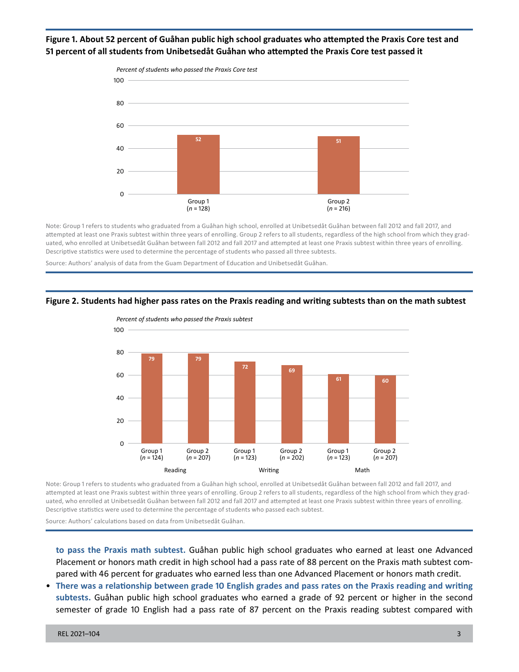#### **Figure 1. About 52 percent of Guåhan public high school graduates who attempted the Praxis Core test and 51 percent of all students from Unibetsedåt Guåhan who attempted the Praxis Core test passed it**



Note: Group 1 refers to students who graduated from a Guåhan high school, enrolled at Unibetsedåt Guåhan between fall 2012 and fall 2017, and attempted at least one Praxis subtest within three years of enrolling. Group 2 refers to all students, regardless of the high school from which they graduated, who enrolled at Unibetsedåt Guåhan between fall 2012 and fall 2017 and attempted at least one Praxis subtest within three years of enrolling. Descriptive statistics were used to determine the percentage of students who passed all three subtests.

Source: Authors' analysis of data from the Guam Department of Education and Unibetsedåt Guåhan.

#### **Figure 2. Students had higher pass rates on the Praxis reading and writing subtests than on the math subtest**



Note: Group 1 refers to students who graduated from a Guåhan high school, enrolled at Unibetsedåt Guåhan between fall 2012 and fall 2017, and

attempted at least one Praxis subtest within three years of enrolling. Group 2 refers to all students, regardless of the high school from which they graduated, who enrolled at Unibetsedåt Guåhan between fall 2012 and fall 2017 and attempted at least one Praxis subtest within three years of enrolling. Descriptive statistics were used to determine the percentage of students who passed each subtest.

Source: Authors' calculations based on data from Unibetsedåt Guåhan.

**to pass the Praxis math subtest.** Guåhan public high school graduates who earned at least one Advanced Placement or honors math credit in high school had a pass rate of 88 percent on the Praxis math subtest compared with 46 percent for graduates who earned less than one Advanced Placement or honors math credit.

• **There was a relationship between grade 10 English grades and pass rates on the Praxis reading and writing subtests.** Guåhan public high school graduates who earned a grade of 92 percent or higher in the second semester of grade 10 English had a pass rate of 87 percent on the Praxis reading subtest compared with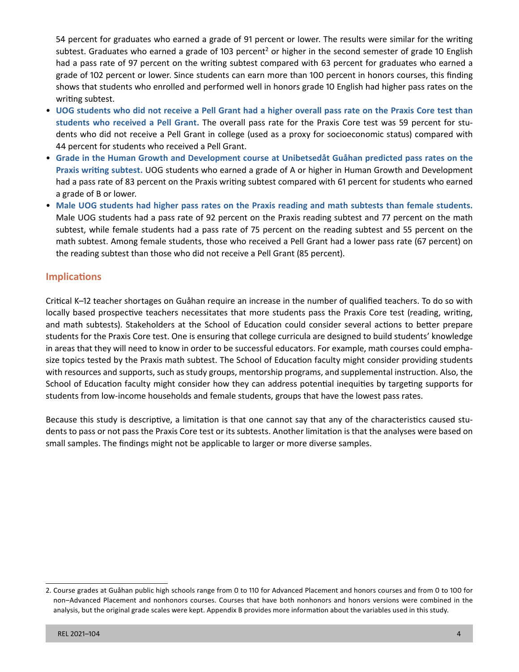subtest. Graduates who earned a grade of 103 percent<sup>2</sup> or higher in the second semester of grade 10 English 54 percent for graduates who earned a grade of 91 percent or lower. The results were similar for the writing had a pass rate of 97 percent on the writing subtest compared with 63 percent for graduates who earned a grade of 102 percent or lower. Since students can earn more than 100 percent in honors courses, this finding shows that students who enrolled and performed well in honors grade 10 English had higher pass rates on the writing subtest.

- • **UOG students who did not receive a Pell Grant had a higher overall pass rate on the Praxis Core test than students who received a Pell Grant.** The overall pass rate for the Praxis Core test was 59 percent for students who did not receive a Pell Grant in college (used as a proxy for socioeconomic status) compared with 44 percent for students who received a Pell Grant.
- • **Grade in the Human Growth and Development course at Unibetsedåt Guåhan predicted pass rates on the Praxis writing subtest.** UOG students who earned a grade of A or higher in Human Growth and Development had a pass rate of 83 percent on the Praxis writing subtest compared with 61 percent for students who earned a grade of B or lower.
- • **Male UOG students had higher pass rates on the Praxis reading and math subtests than female students.**  Male UOG students had a pass rate of 92 percent on the Praxis reading subtest and 77 percent on the math subtest, while female students had a pass rate of 75 percent on the reading subtest and 55 percent on the math subtest. Among female students, those who received a Pell Grant had a lower pass rate (67 percent) on the reading subtest than those who did not receive a Pell Grant (85 percent).

# **Implications**

Critical K–12 teacher shortages on Guåhan require an increase in the number of qualified teachers. To do so with locally based prospective teachers necessitates that more students pass the Praxis Core test (reading, writing, and math subtests). Stakeholders at the School of Education could consider several actions to better prepare students for the Praxis Core test. One is ensuring that college curricula are designed to build students' knowledge in areas that they will need to know in order to be successful educators. For example, math courses could emphasize topics tested by the Praxis math subtest. The School of Education faculty might consider providing students with resources and supports, such as study groups, mentorship programs, and supplemental instruction. Also, the School of Education faculty might consider how they can address potential inequities by targeting supports for students from low-income households and female students, groups that have the lowest pass rates.

Because this study is descriptive, a limitation is that one cannot say that any of the characteristics caused students to pass or not pass the Praxis Core test or its subtests. Another limitation is that the analyses were based on small samples. The findings might not be applicable to larger or more diverse samples.

<sup>2.</sup> Course grades at Guåhan public high schools range from 0 to 110 for Advanced Placement and honors courses and from 0 to 100 for non–Advanced Placement and nonhonors courses. Courses that have both nonhonors and honors versions were combined in the analysis, but the original grade scales were kept. Appendix B provides more information about the variables used in this study.